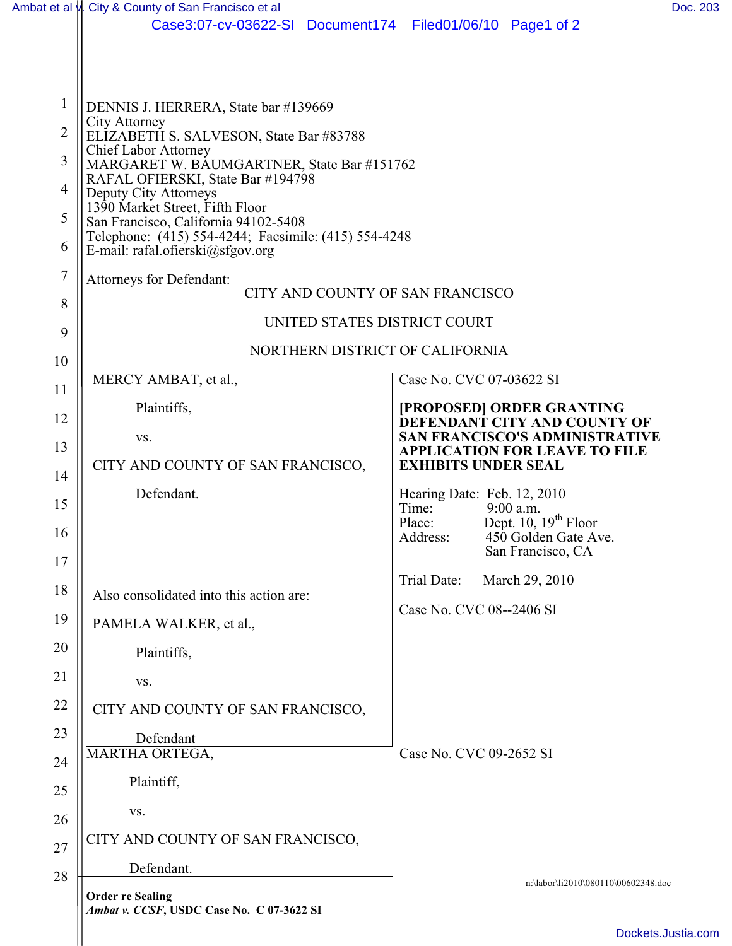|        | Ambat et al v. City & County of San Francisco et al                                          |                                                                                | Doc. 203 |
|--------|----------------------------------------------------------------------------------------------|--------------------------------------------------------------------------------|----------|
|        | Case3:07-cv-03622-SI Document174 Filed01/06/10 Page1 of 2                                    |                                                                                |          |
|        |                                                                                              |                                                                                |          |
| 1      |                                                                                              |                                                                                |          |
|        | DENNIS J. HERRERA, State bar #139669<br>City Attorney                                        |                                                                                |          |
| 2      | ELIZABETH S. SALVESON, State Bar #83788<br><b>Chief Labor Attorney</b>                       |                                                                                |          |
| 3      | MARGARET W. BAUMGARTNER, State Bar #151762<br>RAFAL OFIERSKI, State Bar #194798              |                                                                                |          |
| 4      | Deputy City Attorneys<br>1390 Market Street, Fifth Floor                                     |                                                                                |          |
| 5      | San Francisco, California 94102-5408<br>Telephone: (415) 554-4244; Facsimile: (415) 554-4248 |                                                                                |          |
| 6      | E-mail: rafal.ofierski@sfgov.org                                                             |                                                                                |          |
| $\tau$ | Attorneys for Defendant:<br>CITY AND COUNTY OF SAN FRANCISCO                                 |                                                                                |          |
| 8      |                                                                                              |                                                                                |          |
| 9      | UNITED STATES DISTRICT COURT                                                                 |                                                                                |          |
| 10     | NORTHERN DISTRICT OF CALIFORNIA                                                              |                                                                                |          |
| 11     | MERCY AMBAT, et al.,                                                                         | Case No. CVC 07-03622 SI                                                       |          |
| 12     | Plaintiffs,                                                                                  | [PROPOSED] ORDER GRANTING<br>DEFENDANT CITY AND COUNTY OF                      |          |
| 13     | VS.                                                                                          | <b>SAN FRANCISCO'S ADMINISTRATIVE</b><br><b>APPLICATION FOR LEAVE TO FILE</b>  |          |
| 14     | CITY AND COUNTY OF SAN FRANCISCO,                                                            | <b>EXHIBITS UNDER SEAL</b>                                                     |          |
| 15     | Defendant.                                                                                   | Hearing Date: Feb. 12, 2010<br>Time:<br>9:00 a.m.                              |          |
| 16     |                                                                                              | Dept. 10, 19 <sup>th</sup> Floor<br>Place:<br>Address:<br>450 Golden Gate Ave. |          |
| 17     |                                                                                              | San Francisco, CA                                                              |          |
| 18     | Also consolidated into this action are:                                                      | Trial Date:<br>March 29, 2010                                                  |          |
| 19     |                                                                                              | Case No. CVC 08--2406 SI                                                       |          |
| 20     | PAMELA WALKER, et al.,                                                                       |                                                                                |          |
| 21     | Plaintiffs,                                                                                  |                                                                                |          |
|        | VS.                                                                                          |                                                                                |          |
| 22     | CITY AND COUNTY OF SAN FRANCISCO,                                                            |                                                                                |          |
| 23     | Defendant<br>MARTHA ORTEGA,                                                                  | Case No. CVC 09-2652 SI                                                        |          |
| 24     | Plaintiff,                                                                                   |                                                                                |          |
| 25     | VS.                                                                                          |                                                                                |          |
| 26     | CITY AND COUNTY OF SAN FRANCISCO,                                                            |                                                                                |          |
| 27     |                                                                                              |                                                                                |          |
| 28     | Defendant.                                                                                   | n:\labor\li2010\080110\00602348.doc                                            |          |
|        | <b>Order re Sealing</b><br>Ambat v. CCSF, USDC Case No. C 07-3622 SI                         |                                                                                |          |
|        |                                                                                              | Dockets.Justia.com                                                             |          |